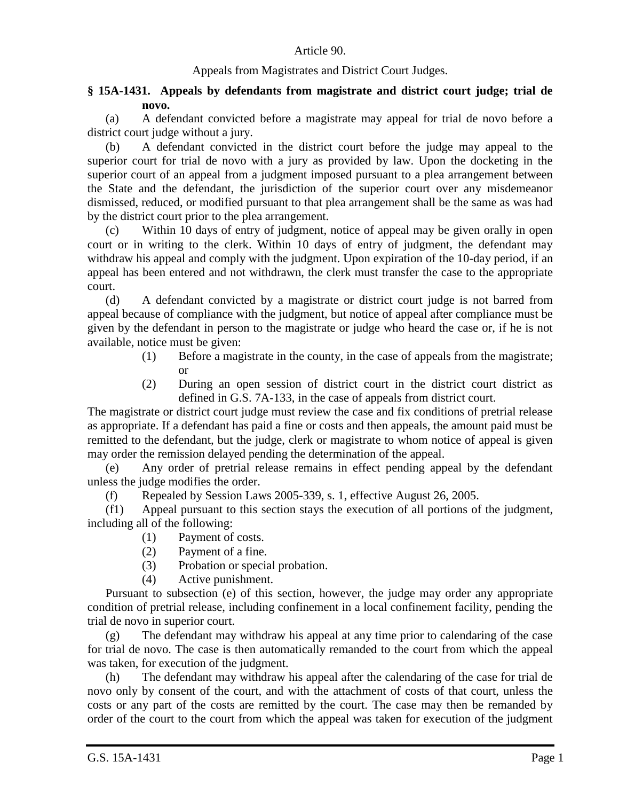## Appeals from Magistrates and District Court Judges.

## **§ 15A-1431. Appeals by defendants from magistrate and district court judge; trial de novo.**

(a) A defendant convicted before a magistrate may appeal for trial de novo before a district court judge without a jury.

(b) A defendant convicted in the district court before the judge may appeal to the superior court for trial de novo with a jury as provided by law. Upon the docketing in the superior court of an appeal from a judgment imposed pursuant to a plea arrangement between the State and the defendant, the jurisdiction of the superior court over any misdemeanor dismissed, reduced, or modified pursuant to that plea arrangement shall be the same as was had by the district court prior to the plea arrangement.

(c) Within 10 days of entry of judgment, notice of appeal may be given orally in open court or in writing to the clerk. Within 10 days of entry of judgment, the defendant may withdraw his appeal and comply with the judgment. Upon expiration of the 10-day period, if an appeal has been entered and not withdrawn, the clerk must transfer the case to the appropriate court.

(d) A defendant convicted by a magistrate or district court judge is not barred from appeal because of compliance with the judgment, but notice of appeal after compliance must be given by the defendant in person to the magistrate or judge who heard the case or, if he is not available, notice must be given:

- (1) Before a magistrate in the county, in the case of appeals from the magistrate; or
- (2) During an open session of district court in the district court district as defined in G.S. 7A-133, in the case of appeals from district court.

The magistrate or district court judge must review the case and fix conditions of pretrial release as appropriate. If a defendant has paid a fine or costs and then appeals, the amount paid must be remitted to the defendant, but the judge, clerk or magistrate to whom notice of appeal is given may order the remission delayed pending the determination of the appeal.

(e) Any order of pretrial release remains in effect pending appeal by the defendant unless the judge modifies the order.

(f) Repealed by Session Laws 2005-339, s. 1, effective August 26, 2005.

(f1) Appeal pursuant to this section stays the execution of all portions of the judgment, including all of the following:

- (1) Payment of costs.
- (2) Payment of a fine.
- (3) Probation or special probation.
- (4) Active punishment.

Pursuant to subsection (e) of this section, however, the judge may order any appropriate condition of pretrial release, including confinement in a local confinement facility, pending the trial de novo in superior court.

(g) The defendant may withdraw his appeal at any time prior to calendaring of the case for trial de novo. The case is then automatically remanded to the court from which the appeal was taken, for execution of the judgment.

(h) The defendant may withdraw his appeal after the calendaring of the case for trial de novo only by consent of the court, and with the attachment of costs of that court, unless the costs or any part of the costs are remitted by the court. The case may then be remanded by order of the court to the court from which the appeal was taken for execution of the judgment